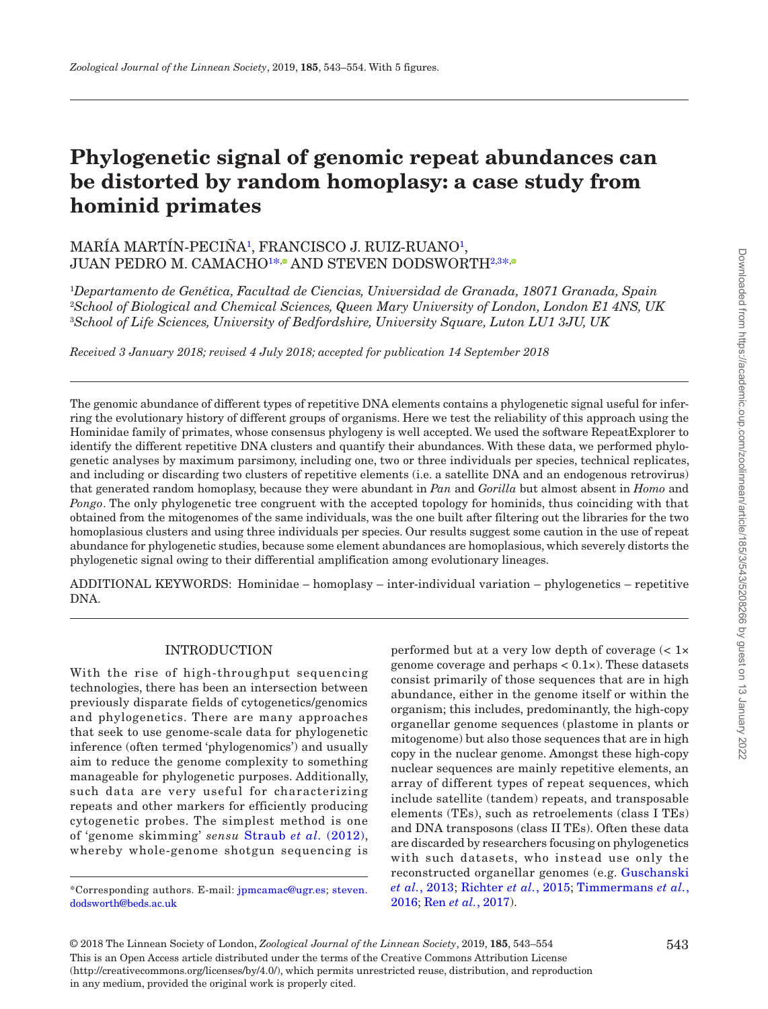# **Phylogenetic signal of genomic repeat abundances can be distorted by random homoplasy: a case study from hominid primates**

## MARÍA MARTÍN-PECINA<sup>[1](#page-0-0)</sup>, FRANCISCO J. RUIZ-RUANO<sup>1</sup>, JUAN PEDRO M. CAMACHO1[\\*](#page-0-2),® AND STEVEN DODSWORT[H2](#page-0-1)[,](http://orcid.org/0000-0001-6531-3540)3\*;

<span id="page-0-2"></span><span id="page-0-1"></span><span id="page-0-0"></span>1 *Departamento de Genética, Facultad de Ciencias, Universidad de Granada, 18071 Granada, Spain* 2 *School of Biological and Chemical Sciences, Queen Mary University of London, London E1 4NS, UK* 3 *School of Life Sciences, University of Bedfordshire, University Square, Luton LU1 3JU, UK*

*Received 3 January 2018; revised 4 July 2018; accepted for publication 14 September 2018*

The genomic abundance of different types of repetitive DNA elements contains a phylogenetic signal useful for inferring the evolutionary history of different groups of organisms. Here we test the reliability of this approach using the Hominidae family of primates, whose consensus phylogeny is well accepted. We used the software RepeatExplorer to identify the different repetitive DNA clusters and quantify their abundances. With these data, we performed phylogenetic analyses by maximum parsimony, including one, two or three individuals per species, technical replicates, and including or discarding two clusters of repetitive elements (i.e. a satellite DNA and an endogenous retrovirus) that generated random homoplasy, because they were abundant in *Pan* and *Gorilla* but almost absent in *Homo* and *Pongo*. The only phylogenetic tree congruent with the accepted topology for hominids, thus coinciding with that obtained from the mitogenomes of the same individuals, was the one built after filtering out the libraries for the two homoplasious clusters and using three individuals per species. Our results suggest some caution in the use of repeat abundance for phylogenetic studies, because some element abundances are homoplasious, which severely distorts the phylogenetic signal owing to their differential amplification among evolutionary lineages.

ADDITIONAL KEYWORDS: Hominidae – homoplasy – inter-individual variation – phylogenetics – repetitive DNA.

## INTRODUCTION

With the rise of high-throughput sequencing technologies, there has been an intersection between previously disparate fields of cytogenetics/genomics and phylogenetics. There are many approaches that seek to use genome-scale data for phylogenetic inference (often termed 'phylogenomics') and usually aim to reduce the genome complexity to something manageable for phylogenetic purposes. Additionally, such data are very useful for characterizing repeats and other markers for efficiently producing cytogenetic probes. The simplest method is one of 'genome skimming' *sensu* [Straub](#page-11-0) *et al.* (2012), whereby whole-genome shotgun sequencing is

performed but at a very low depth of coverage (< 1× genome coverage and perhaps  $< 0.1 \times$ ). These datasets consist primarily of those sequences that are in high abundance, either in the genome itself or within the organism; this includes, predominantly, the high-copy organellar genome sequences (plastome in plants or mitogenome) but also those sequences that are in high copy in the nuclear genome. Amongst these high-copy nuclear sequences are mainly repetitive elements, an array of different types of repeat sequences, which include satellite (tandem) repeats, and transposable elements (TEs), such as retroelements (class I TEs) and DNA transposons (class II TEs). Often these data are discarded by researchers focusing on phylogenetics with such datasets, who instead use only the reconstructed organellar genomes (e.g. [Guschanski](#page-10-0) *et al.*[, 2013](#page-10-0); [Richter](#page-11-1) *et al.*, 2015; [Timmermans](#page-11-2) *et al.*, [2016](#page-11-2); Ren *et al.*[, 2017](#page-10-1)).

Downloaded from https://academic.oup.com/zoolinnean/article/185/3/543/5208266 by guest on 13 January 2022 Downloaded from https://academic.oup.com/zoolinnean/article/185/3/543/5208266 by guest on 13 January 2022

This is an Open Access article distributed under the terms of the Creative Commons Attribution License (http://creativecommons.org/licenses/by/4.0/), which permits unrestricted reuse, distribution, and reproduction in any medium, provided the original work is properly cited. © 2018 The Linnean Society of London, *Zoological Journal of the Linnean Society*, 2019, **185**, 543–554

<sup>\*</sup>Corresponding authors. E-mail: [jpmcamac@ugr.es;](mailto:jpmcamac@ugr.es?subject=) [steven.](mailto:steven.dodsworth@beds.ac.uk?subject=) [dodsworth@beds.ac.uk](mailto:steven.dodsworth@beds.ac.uk?subject=)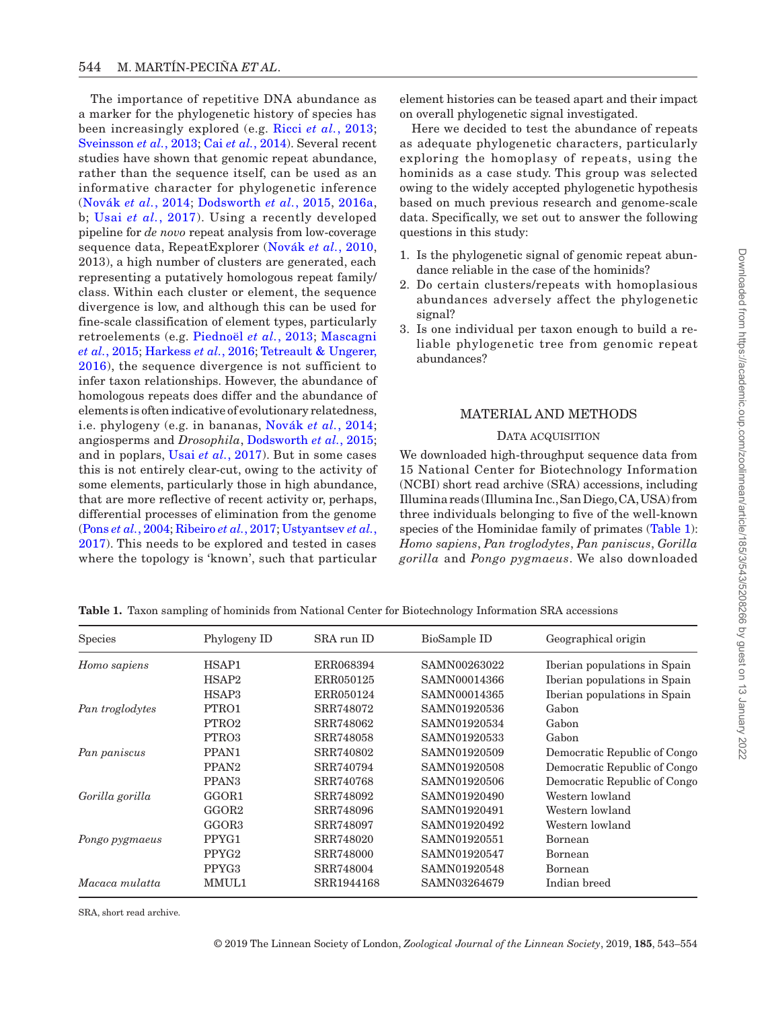The importance of repetitive DNA abundance as a marker for the phylogenetic history of species has been increasingly explored (e.g. Ricci *et al.*[, 2013;](#page-11-3) [Sveinsson](#page-11-4) *et al.*, 2013; Cai *et al.*[, 2014](#page-9-0)). Several recent studies have shown that genomic repeat abundance, rather than the sequence itself, can be used as an informative character for phylogenetic inference [\(Novák](#page-10-2) *et al.*, 2014; [Dodsworth](#page-9-1) *et al.*, 2015, [2016a,](#page-9-2) b; Usai *et al.*[, 2017](#page-11-5)). Using a recently developed pipeline for *de novo* repeat analysis from low-coverage sequence data, RepeatExplorer ([Novák](#page-10-3) *et al.*, 2010, 2013), a high number of clusters are generated, each representing a putatively homologous repeat family/ class. Within each cluster or element, the sequence divergence is low, and although this can be used for fine-scale classification of element types, particularly retroelements (e.g. [Piednoël](#page-10-4) *et al.*, 2013; [Mascagni](#page-10-5) *et al.*[, 2015;](#page-10-5) [Harkess](#page-10-6) *et al.*, 2016; [Tetreault & Ungerer,](#page-11-6) [2016\)](#page-11-6), the sequence divergence is not sufficient to infer taxon relationships. However, the abundance of homologous repeats does differ and the abundance of elements is often indicative of evolutionary relatedness, i.e. phylogeny (e.g. in bananas, [Novák](#page-10-2) *et al.*, 2014; angiosperms and *Drosophila*, [Dodsworth](#page-9-1) *et al.*, 2015; and in poplars, Usai *et al.*[, 2017](#page-11-5)). But in some cases this is not entirely clear-cut, owing to the activity of some elements, particularly those in high abundance, that are more reflective of recent activity or, perhaps, differential processes of elimination from the genome (Pons *et al.*[, 2004;](#page-10-7) [Ribeiro](#page-11-7) *et al.*, 2017; [Ustyantsev](#page-11-8) *et al.*, [2017](#page-11-8)). This needs to be explored and tested in cases where the topology is 'known', such that particular

element histories can be teased apart and their impact on overall phylogenetic signal investigated.

Here we decided to test the abundance of repeats as adequate phylogenetic characters, particularly exploring the homoplasy of repeats, using the hominids as a case study. This group was selected owing to the widely accepted phylogenetic hypothesis based on much previous research and genome-scale data. Specifically, we set out to answer the following questions in this study:

- 1. Is the phylogenetic signal of genomic repeat abundance reliable in the case of the hominids?
- 2. Do certain clusters/repeats with homoplasious abundances adversely affect the phylogenetic signal?
- 3. Is one individual per taxon enough to build a reliable phylogenetic tree from genomic repeat abundances?

## MATERIAL AND METHODS

#### DATA ACQUISITION

We downloaded high-throughput sequence data from 15 National Center for Biotechnology Information (NCBI) short read archive (SRA) accessions, including Illumina reads (Illumina Inc., San Diego, CA, USA) from three individuals belonging to five of the well-known species of the Hominidae family of primates [\(Table](#page-1-0) 1): *Homo sapiens*, *Pan troglodytes*, *Pan paniscus*, *Gorilla gorilla* and *Pongo pygmaeus*. We also downloaded

|                   | Downloaded from https://academic.oup.com/zoolinnean/article/185/3/543/5208266 by guest on 13 January 2022 |
|-------------------|-----------------------------------------------------------------------------------------------------------|
|                   |                                                                                                           |
| s<br>c            |                                                                                                           |
|                   |                                                                                                           |
|                   |                                                                                                           |
| t                 |                                                                                                           |
|                   |                                                                                                           |
|                   |                                                                                                           |
|                   |                                                                                                           |
|                   |                                                                                                           |
|                   |                                                                                                           |
|                   |                                                                                                           |
|                   |                                                                                                           |
|                   |                                                                                                           |
|                   |                                                                                                           |
|                   |                                                                                                           |
| n n gn n n l: z d |                                                                                                           |
|                   |                                                                                                           |
|                   |                                                                                                           |
|                   |                                                                                                           |
|                   |                                                                                                           |
|                   |                                                                                                           |
|                   |                                                                                                           |
|                   |                                                                                                           |
|                   |                                                                                                           |
|                   |                                                                                                           |
|                   |                                                                                                           |
|                   |                                                                                                           |
|                   |                                                                                                           |
|                   |                                                                                                           |
|                   |                                                                                                           |
| $\mathbf 0$       |                                                                                                           |

Species Phylogeny ID SRA run ID BioSample ID Geographical origin *Homo sapiens* HSAP1 ERR068394 SAMN00263022 Iberian populations in Spain HSAP2 ERR050125 SAMN00014366 Iberian populations in Spain HSAP3 ERR050124 SAMN00014365 Iberian populations in Spain *Pan troglodytes* PTRO1 SRR748072 SAMN01920536 Gabon PTRO2 SRR748062 SAMN01920534 Gabon PTRO3 SRR748058 SAMN01920533 Gabon *Pan paniscus* PPAN1 SRR740802 SAMN01920509 Democratic Republic of Congo PPAN2 SRR740794 SAMN01920508 Democratic Republic of Congo PPAN3 SRR740768 SAMN01920506 Democratic Republic of Congo *Gorilla gorilla* GGOR1 SRR748092 SAMN01920490 Western lowland GGOR2 SRR748096 SAMN01920491 Western lowland GGOR3 SRR748097 SAMN01920492 Western lowland *Pongo pygmaeus* PPYG1 SRR748020 SAMN01920551 Bornean PPYG2 SRR748000 SAMN01920547 Bornean PPYG3 SRR748004 SAMN01920548 Bornean *Macaca mulatta* MMUL1 SRR1944168 SAMN03264679 Indian breed

<span id="page-1-0"></span>**Table 1.** Taxon sampling of hominids from National Center for Biotechnology Information SRA accessions

SRA, short read archive.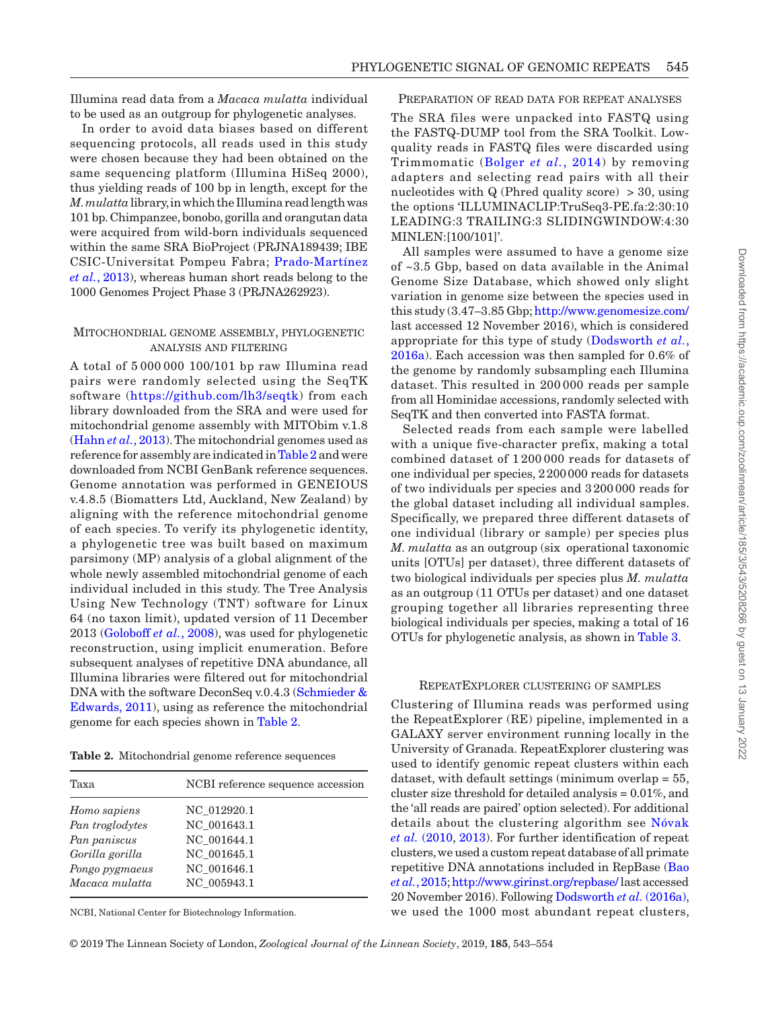Illumina read data from a *Macaca mulatta* individual to be used as an outgroup for phylogenetic analyses.

In order to avoid data biases based on different sequencing protocols, all reads used in this study were chosen because they had been obtained on the same sequencing platform (Illumina HiSeq 2000), thus yielding reads of 100 bp in length, except for the *M.mulatta* library, in which the Illumina read length was 101 bp. Chimpanzee, bonobo, gorilla and orangutan data were acquired from wild-born individuals sequenced within the same SRA BioProject (PRJNA189439; IBE CSIC-Universitat Pompeu Fabra; [Prado-Martínez](#page-10-8) *et al.*[, 2013](#page-10-8)), whereas human short reads belong to the 1000 Genomes Project Phase 3 (PRJNA262923).

## Mitochondrial genome assembly, phylogenetic analysis and filtering

A total of 5 000 000 100/101 bp raw Illumina read pairs were randomly selected using the SeqTK software ([https://github.com/lh3/seqtk\)](https://github.com/lh3/seqtk) from each library downloaded from the SRA and were used for mitochondrial genome assembly with MITObim v.1.8 [\(Hahn](#page-10-9) *et al.*, 2013). The mitochondrial genomes used as reference for assembly are indicated in [Table](#page-2-0) 2 and were downloaded from NCBI GenBank reference sequences. Genome annotation was performed in GENEIOUS v.4.8.5 (Biomatters Ltd, Auckland, New Zealand) by aligning with the reference mitochondrial genome of each species. To verify its phylogenetic identity, a phylogenetic tree was built based on maximum parsimony (MP) analysis of a global alignment of the whole newly assembled mitochondrial genome of each individual included in this study. The Tree Analysis Using New Technology (TNT) software for Linux 64 (no taxon limit), updated version of 11 December 2013 ([Goloboff](#page-10-10) *et al.*, 2008), was used for phylogenetic reconstruction, using implicit enumeration. Before subsequent analyses of repetitive DNA abundance, all Illumina libraries were filtered out for mitochondrial DNA with the software DeconSeq v.0.4.3 [\(Schmieder &](#page-11-9) [Edwards, 2011](#page-11-9)), using as reference the mitochondrial genome for each species shown in [Table](#page-2-0) 2.

<span id="page-2-0"></span>**Table 2.** Mitochondrial genome reference sequences

| Taxa            | NCBI reference sequence accession |
|-----------------|-----------------------------------|
| Homo sapiens    | NC 012920.1                       |
| Pan troglodytes | NC 001643.1                       |
| Pan paniscus    | NC 001644.1                       |
| Gorilla gorilla | NC 001645.1                       |
| Pongo pygmaeus  | NC 001646.1                       |
| Macaca mulatta  | NC 005943.1                       |

NCBI, National Center for Biotechnology Information.

## Preparation of read data for repeat analyses

The SRA files were unpacked into FASTQ using the FASTQ-DUMP tool from the SRA Toolkit. Lowquality reads in FASTQ files were discarded using Trimmomatic ([Bolger](#page-9-3) *et al.*, 2014) by removing adapters and selecting read pairs with all their nucleotides with  $Q$  (Phred quality score)  $>$  30, using the options 'ILLUMINACLIP:TruSeq3-PE.fa:2:30:10 LEADING:3 TRAILING:3 SLIDINGWINDOW:4:30 MINLEN:[100/101]'.

All samples were assumed to have a genome size of ~3.5 Gbp, based on data available in the Animal Genome Size Database, which showed only slight variation in genome size between the species used in this study (3.47–3.85 Gbp;<http://www.genomesize.com/> last accessed 12 November 2016), which is considered appropriate for this type of study ([Dodsworth](#page-9-2) *et al.*, [2016a](#page-9-2)). Each accession was then sampled for 0.6% of the genome by randomly subsampling each Illumina dataset. This resulted in 200 000 reads per sample from all Hominidae accessions, randomly selected with SeqTK and then converted into FASTA format.

Selected reads from each sample were labelled with a unique five-character prefix, making a total combined dataset of 1 200 000 reads for datasets of one individual per species, 2200000 reads for datasets of two individuals per species and 3200 000 reads for the global dataset including all individual samples. Specifically, we prepared three different datasets of one individual (library or sample) per species plus *M. mulatta* as an outgroup (six operational taxonomic units [OTUs] per dataset), three different datasets of two biological individuals per species plus *M. mulatta* as an outgroup (11 OTUs per dataset) and one dataset grouping together all libraries representing three biological individuals per species, making a total of 16 OTUs for phylogenetic analysis, as shown in [Table](#page-3-0) 3.

#### RepeatExplorer clustering of samples

Clustering of Illumina reads was performed using the RepeatExplorer (RE) pipeline, implemented in a GALAXY server environment running locally in the University of Granada. RepeatExplorer clustering was used to identify genomic repeat clusters within each dataset, with default settings (minimum overlap = 55, cluster size threshold for detailed analysis = 0.01%, and the 'all reads are paired' option selected). For additional details about the clustering algorithm see [Nóvak](#page-10-3) *et al.* [\(2010](#page-10-3), [2013\)](#page-10-11). For further identification of repeat clusters, we used a custom repeat database of all primate repetitive DNA annotations included in RepBase [\(Bao](#page-9-4) *et al.*[, 2015;](#page-9-4)<http://www.girinst.org/repbase/>last accessed 20 November 2016). Following [Dodsworth](#page-9-2) *et al.* (2016a), we used the 1000 most abundant repeat clusters,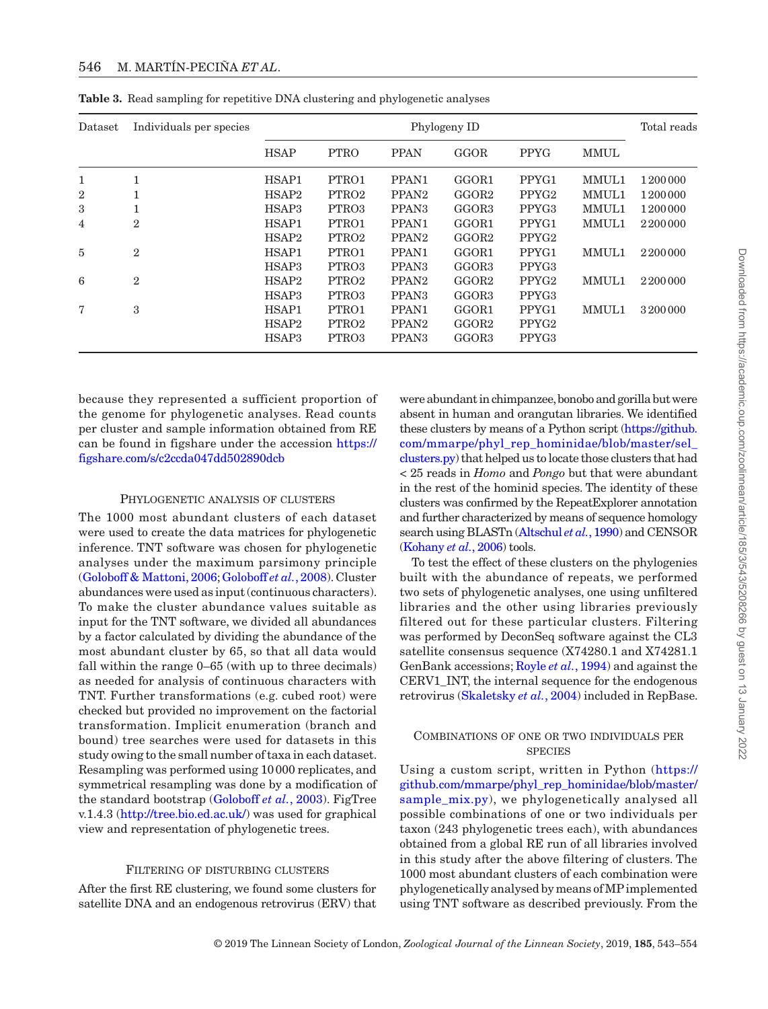| Dataset      | Individuals per species | Phylogeny ID      |                   |                   |                   |                   |             | Total reads |
|--------------|-------------------------|-------------------|-------------------|-------------------|-------------------|-------------------|-------------|-------------|
|              |                         | <b>HSAP</b>       | <b>PTRO</b>       | <b>PPAN</b>       | GGOR              | <b>PPYG</b>       | <b>MMUL</b> |             |
| 1            | 1                       | HSAP1             | PTRO1             | PPAN1             | GGOR1             | PPYG1             | MMUL1       | 1200000     |
| $\mathbf{2}$ | T                       | HSAP <sub>2</sub> | PTRO2             | PPAN <sub>2</sub> | GGOR2             | PPYG <sub>2</sub> | MMUL1       | 1200000     |
| 3            | T                       | HSAP3             | PTRO3             | PPAN <sub>3</sub> | GGOR <sub>3</sub> | PPYG <sub>3</sub> | MMUL1       | 1200000     |
| 4            | $\overline{2}$          | HSAP1             | PTRO1             | PPAN1             | GGOR1             | PPYG1             | MMUL1       | 2200000     |
|              |                         | HSAP2             | PTRO <sub>2</sub> | PPAN <sub>2</sub> | GGOR2             | PPYG <sub>2</sub> |             |             |
| 5            | $\overline{2}$          | HSAP1             | PTRO1             | PPAN1             | GGOR1             | PPYG1             | MMUL1       | 2200000     |
|              |                         | HSAP3             | PTRO3             | PPAN <sub>3</sub> | GGOR <sub>3</sub> | PPYG <sub>3</sub> |             |             |
| 6            | $\overline{2}$          | HSAP2             | PTRO <sub>2</sub> | PPAN <sub>2</sub> | GGOR2             | PPYG <sub>2</sub> | MMUL1       | 2200000     |
|              |                         | HSAP3             | PTRO3             | PPAN <sub>3</sub> | GGOR <sub>3</sub> | PPYG <sub>3</sub> |             |             |
| 7            | 3                       | HSAP1             | PTRO1             | PPAN1             | GGOR1             | PPYG1             | MMUL1       | 3200000     |
|              |                         | HSAP <sub>2</sub> | PTRO <sub>2</sub> | PPAN <sub>2</sub> | GGOR2             | PPYG <sub>2</sub> |             |             |
|              |                         | HSAP3             | PTRO3             | PPAN <sub>3</sub> | GGOR <sub>3</sub> | PPYG <sub>3</sub> |             |             |

<span id="page-3-0"></span>**Table 3.** Read sampling for repetitive DNA clustering and phylogenetic analyses

because they represented a sufficient proportion of the genome for phylogenetic analyses. Read counts per cluster and sample information obtained from RE can be found in figshare under the accession [https://](https://figshare.com/s/c2ccda047dd502890dcb﻿) [figshare.com/s/c2ccda047dd502890dcb](https://figshare.com/s/c2ccda047dd502890dcb﻿)

#### Phylogenetic analysis of clusters

The 1000 most abundant clusters of each dataset were used to create the data matrices for phylogenetic inference. TNT software was chosen for phylogenetic analyses under the maximum parsimony principle [\(Goloboff & Mattoni, 2006](#page-10-12); [Goloboff](#page-10-10) *et al.*, 2008). Cluster abundances were used as input (continuous characters). To make the cluster abundance values suitable as input for the TNT software, we divided all abundances by a factor calculated by dividing the abundance of the most abundant cluster by 65, so that all data would fall within the range 0–65 (with up to three decimals) as needed for analysis of continuous characters with TNT. Further transformations (e.g. cubed root) were checked but provided no improvement on the factorial transformation. Implicit enumeration (branch and bound) tree searches were used for datasets in this study owing to the small number of taxa in each dataset. Resampling was performed using 10000 replicates, and symmetrical resampling was done by a modification of the standard bootstrap [\(Goloboff](#page-9-5) *et al.*, 2003). FigTree v.1.4.3 [\(http://tree.bio.ed.ac.uk/\)](http://tree.bio.ed.ac.uk/) was used for graphical view and representation of phylogenetic trees.

## FILTERING OF DISTURBING CLUSTERS

After the first RE clustering, we found some clusters for satellite DNA and an endogenous retrovirus (ERV) that were abundant in chimpanzee, bonobo and gorilla but were absent in human and orangutan libraries. We identified these clusters by means of a Python script [\(https://github.](https://github.com/mmarpe/phyl_rep_hominidae/blob/master/sel_clusters.py) [com/mmarpe/phyl\\_rep\\_hominidae/blob/master/sel\\_](https://github.com/mmarpe/phyl_rep_hominidae/blob/master/sel_clusters.py) [clusters.py](https://github.com/mmarpe/phyl_rep_hominidae/blob/master/sel_clusters.py)) that helped us to locate those clusters that had < 25 reads in *Homo* and *Pongo* but that were abundant in the rest of the hominid species. The identity of these clusters was confirmed by the RepeatExplorer annotation and further characterized by means of sequence homology search using BLASTn [\(Altschul](#page-9-6) *et al.*, 1990) and CENSOR [\(Kohany](#page-10-13) *et al.*, 2006) tools.

To test the effect of these clusters on the phylogenies built with the abundance of repeats, we performed two sets of phylogenetic analyses, one using unfiltered libraries and the other using libraries previously filtered out for these particular clusters. Filtering was performed by DeconSeq software against the CL3 satellite consensus sequence (X74280.1 and X74281.1 GenBank accessions; [Royle](#page-11-10) *et al.*, 1994) and against the CERV1\_INT, the internal sequence for the endogenous retrovirus ([Skaletsky](#page-11-11) *et al.*, 2004) included in RepBase.

## Combinations of one or two individuals per **SPECIES**

Using a custom script, written in Python [\(https://](https://github.com/mmarpe/phyl_rep_hominidae/blob/master/sample_mix.py) [github.com/mmarpe/phyl\\_rep\\_hominidae/blob/master/](https://github.com/mmarpe/phyl_rep_hominidae/blob/master/sample_mix.py) [sample\\_mix.py](https://github.com/mmarpe/phyl_rep_hominidae/blob/master/sample_mix.py)), we phylogenetically analysed all possible combinations of one or two individuals per taxon (243 phylogenetic trees each), with abundances obtained from a global RE run of all libraries involved in this study after the above filtering of clusters. The 1000 most abundant clusters of each combination were phylogenetically analysed by means of MP implemented using TNT software as described previously. From the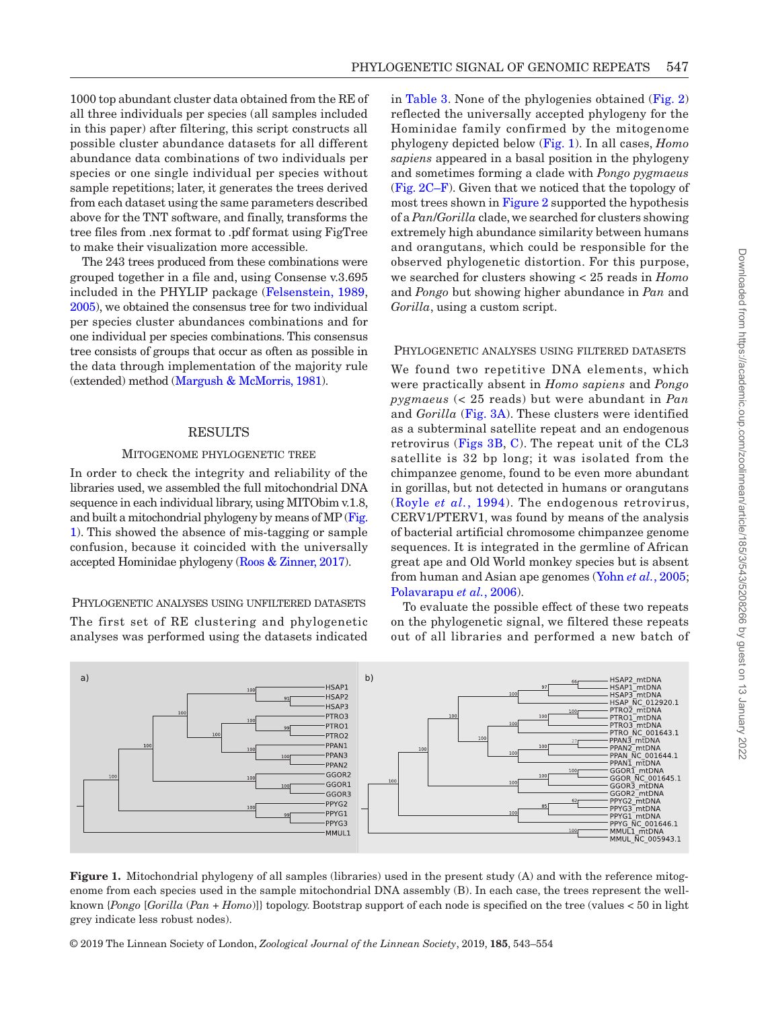1000 top abundant cluster data obtained from the RE of all three individuals per species (all samples included in this paper) after filtering, this script constructs all possible cluster abundance datasets for all different abundance data combinations of two individuals per species or one single individual per species without sample repetitions; later, it generates the trees derived from each dataset using the same parameters described above for the TNT software, and finally, transforms the tree files from .nex format to .pdf format using FigTree to make their visualization more accessible.

The 243 trees produced from these combinations were grouped together in a file and, using Consense v.3.695 included in the PHYLIP package [\(Felsenstein, 1989,](#page-9-7) [2005](#page-9-8)), we obtained the consensus tree for two individual per species cluster abundances combinations and for one individual per species combinations. This consensus tree consists of groups that occur as often as possible in the data through implementation of the majority rule (extended) method [\(Margush & McMorris, 1981](#page-10-14)).

## RESULTS

## Mitogenome phylogenetic tree

In order to check the integrity and reliability of the libraries used, we assembled the full mitochondrial DNA sequence in each individual library, using MITObim v.1.8, and built a mitochondrial phylogeny by means of MP [\(Fig.](#page-4-0) [1](#page-4-0)). This showed the absence of mis-tagging or sample confusion, because it coincided with the universally accepted Hominidae phylogeny ([Roos & Zinner, 2017](#page-11-12)).

## Phylogenetic analyses using unfiltered datasets

The first set of RE clustering and phylogenetic analyses was performed using the datasets indicated

in [Table](#page-3-0) 3. None of the phylogenies obtained [\(Fig.](#page-5-0) 2) reflected the universally accepted phylogeny for the Hominidae family confirmed by the mitogenome phylogeny depicted below [\(Fig.](#page-4-0) 1). In all cases, *Homo sapiens* appeared in a basal position in the phylogeny and sometimes forming a clade with *Pongo pygmaeus* (Fig. [2C–F\)](#page-5-0). Given that we noticed that the topology of most trees shown in [Figure](#page-5-0) 2 supported the hypothesis of a *Pan*/*Gorilla* clade, we searched for clusters showing extremely high abundance similarity between humans and orangutans, which could be responsible for the observed phylogenetic distortion. For this purpose, we searched for clusters showing < 25 reads in *Homo* and *Pongo* but showing higher abundance in *Pan* and *Gorilla*, using a custom script.

## Phylogenetic analyses using filtered datasets

We found two repetitive DNA elements, which were practically absent in *Homo sapiens* and *Pongo pygmaeus* (< 25 reads) but were abundant in *Pan* and *Gorilla* ([Fig.](#page-6-0) 3A). These clusters were identified as a subterminal satellite repeat and an endogenous retrovirus [\(Figs](#page-6-0) 3B, [C\)](#page-6-0). The repeat unit of the CL3 satellite is 32 bp long; it was isolated from the chimpanzee genome, found to be even more abundant in gorillas, but not detected in humans or orangutans (Royle *et al.*[, 1994](#page-11-10)). The endogenous retrovirus, CERV1/PTERV1, was found by means of the analysis of bacterial artificial chromosome chimpanzee genome sequences. It is integrated in the germline of African great ape and Old World monkey species but is absent from human and Asian ape genomes (Yohn *et al.*[, 2005](#page-11-13); [Polavarapu](#page-10-15) *et al.*, 2006).

To evaluate the possible effect of these two repeats on the phylogenetic signal, we filtered these repeats out of all libraries and performed a new batch of



<span id="page-4-0"></span>**Figure 1.** Mitochondrial phylogeny of all samples (libraries) used in the present study (A) and with the reference mitogenome from each species used in the sample mitochondrial DNA assembly (B). In each case, the trees represent the wellknown {*Pongo* [*Gorilla* (*Pan* + *Homo*)]} topology. Bootstrap support of each node is specified on the tree (values < 50 in light grey indicate less robust nodes).

© 2019 The Linnean Society of London, *Zoological Journal of the Linnean Society*, 2019, **185**, 543–554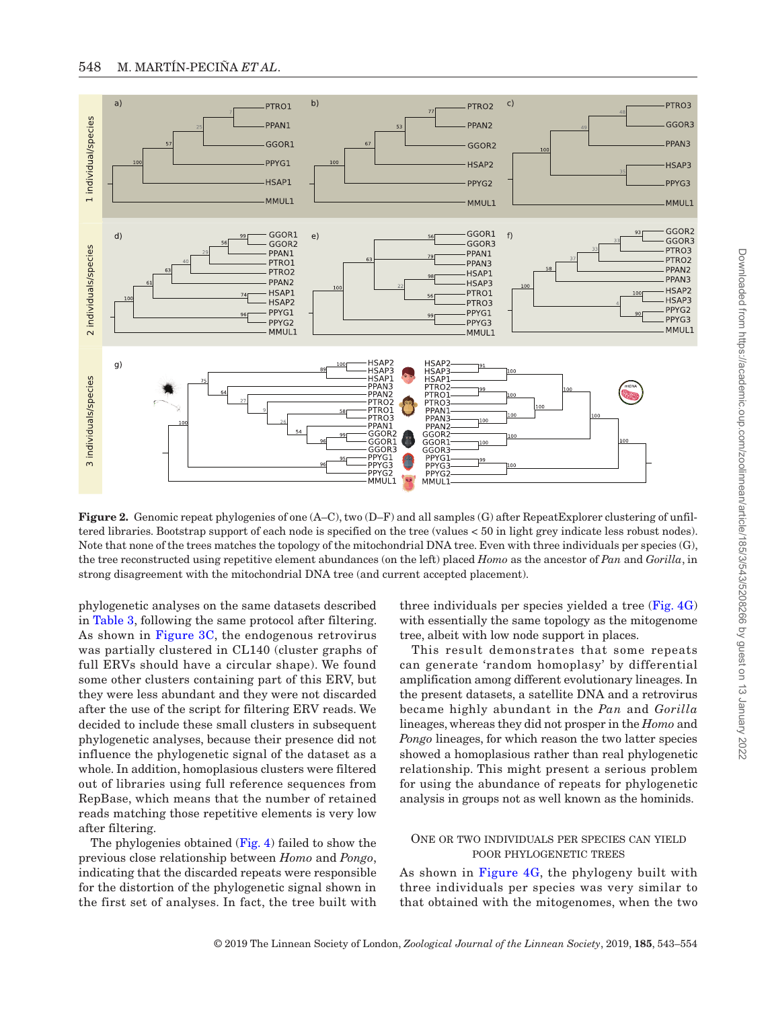

<span id="page-5-0"></span>**Figure 2.** Genomic repeat phylogenies of one (A–C), two (D–F) and all samples (G) after RepeatExplorer clustering of unfiltered libraries. Bootstrap support of each node is specified on the tree (values < 50 in light grey indicate less robust nodes). Note that none of the trees matches the topology of the mitochondrial DNA tree. Even with three individuals per species (G), the tree reconstructed using repetitive element abundances (on the left) placed *Homo* as the ancestor of *Pan* and *Gorilla*, in strong disagreement with the mitochondrial DNA tree (and current accepted placement).

phylogenetic analyses on the same datasets described in [Table](#page-3-0) 3, following the same protocol after filtering. As shown in [Figure](#page-6-0) 3C, the endogenous retrovirus was partially clustered in CL140 (cluster graphs of full ERVs should have a circular shape). We found some other clusters containing part of this ERV, but they were less abundant and they were not discarded after the use of the script for filtering ERV reads. We decided to include these small clusters in subsequent phylogenetic analyses, because their presence did not influence the phylogenetic signal of the dataset as a whole. In addition, homoplasious clusters were filtered out of libraries using full reference sequences from RepBase, which means that the number of retained reads matching those repetitive elements is very low after filtering.

The phylogenies obtained ([Fig.](#page-7-0) 4) failed to show the previous close relationship between *Homo* and *Pongo*, indicating that the discarded repeats were responsible for the distortion of the phylogenetic signal shown in the first set of analyses. In fact, the tree built with three individuals per species yielded a tree ([Fig.](#page-7-0) 4G) with essentially the same topology as the mitogenome tree, albeit with low node support in places.

This result demonstrates that some repeats can generate 'random homoplasy' by differential amplification among different evolutionary lineages. In the present datasets, a satellite DNA and a retrovirus became highly abundant in the *Pan* and *Gorilla* lineages, whereas they did not prosper in the *Homo* and *Pongo* lineages, for which reason the two latter species showed a homoplasious rather than real phylogenetic relationship. This might present a serious problem for using the abundance of repeats for phylogenetic analysis in groups not as well known as the hominids.

## One or two individuals per species can yield poor phylogenetic trees

As shown in [Figure](#page-7-0) 4G, the phylogeny built with three individuals per species was very similar to that obtained with the mitogenomes, when the two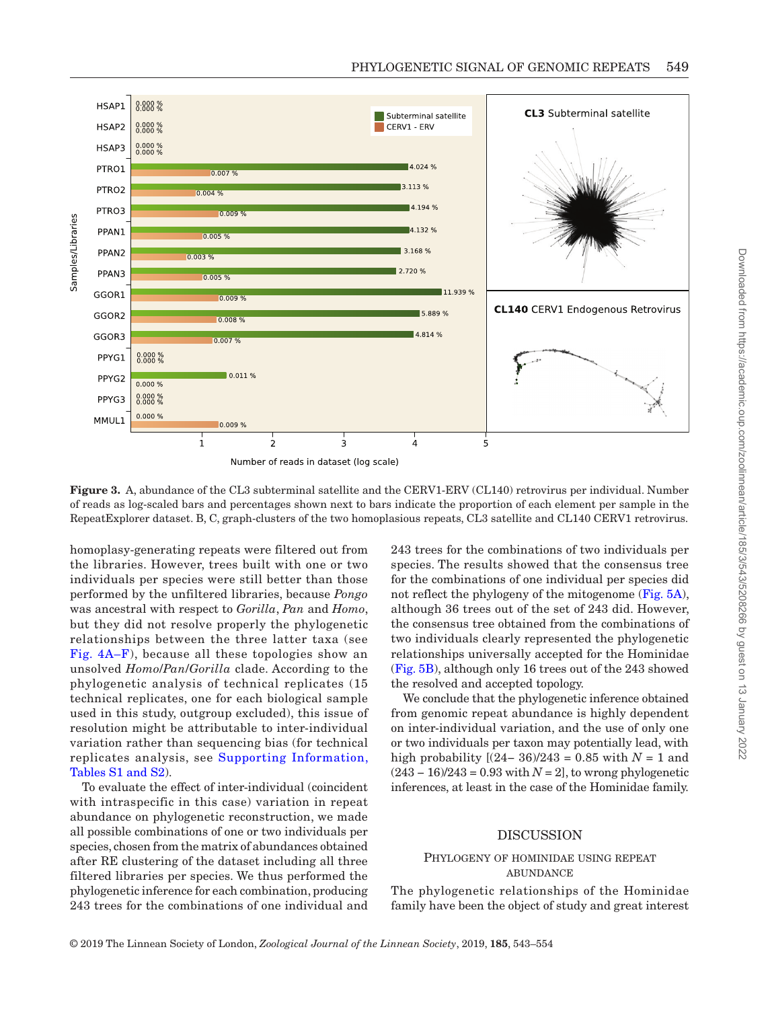

Number of reads in dataset (log scale)

<span id="page-6-0"></span>**Figure 3.** A, abundance of the CL3 subterminal satellite and the CERV1-ERV (CL140) retrovirus per individual. Number of reads as log-scaled bars and percentages shown next to bars indicate the proportion of each element per sample in the RepeatExplorer dataset. B, C, graph-clusters of the two homoplasious repeats, CL3 satellite and CL140 CERV1 retrovirus.

homoplasy-generating repeats were filtered out from the libraries. However, trees built with one or two individuals per species were still better than those performed by the unfiltered libraries, because *Pongo* was ancestral with respect to *Gorilla*, *Pan* and *Homo*, but they did not resolve properly the phylogenetic relationships between the three latter taxa (see Fig. [4A–F\)](#page-7-0), because all these topologies show an unsolved *Homo*/*Pan*/*Gorilla* clade. According to the phylogenetic analysis of technical replicates (15 technical replicates, one for each biological sample used in this study, outgroup excluded), this issue of resolution might be attributable to inter-individual variation rather than sequencing bias (for technical replicates analysis, see [Supporting Information,](http://academic.oup.com/zoolinnean/article-lookup/doi/10.1093/zoolinnean/zly077#supplementary-data) Tables [S1 and S2\)](http://academic.oup.com/zoolinnean/article-lookup/doi/10.1093/zoolinnean/zly077#supplementary-data).

To evaluate the effect of inter-individual (coincident with intraspecific in this case) variation in repeat abundance on phylogenetic reconstruction, we made all possible combinations of one or two individuals per species, chosen from the matrix of abundances obtained after RE clustering of the dataset including all three filtered libraries per species. We thus performed the phylogenetic inference for each combination, producing 243 trees for the combinations of one individual and

243 trees for the combinations of two individuals per species. The results showed that the consensus tree for the combinations of one individual per species did not reflect the phylogeny of the mitogenome [\(Fig.](#page-8-0) 5A), although 36 trees out of the set of 243 did. However, the consensus tree obtained from the combinations of two individuals clearly represented the phylogenetic relationships universally accepted for the Hominidae [\(Fig.](#page-8-0) 5B), although only 16 trees out of the 243 showed the resolved and accepted topology.

We conclude that the phylogenetic inference obtained from genomic repeat abundance is highly dependent on inter-individual variation, and the use of only one or two individuals per taxon may potentially lead, with high probability  $[(24-36)/243 = 0.85 \text{ with } N = 1 \text{ and }$ (243 − 16)/243 = 0.93 with *N* = 2], to wrong phylogenetic inferences, at least in the case of the Hominidae family.

## DISCUSSION

#### Phylogeny of hominidae using repeat **ABUNDANCE**

The phylogenetic relationships of the Hominidae family have been the object of study and great interest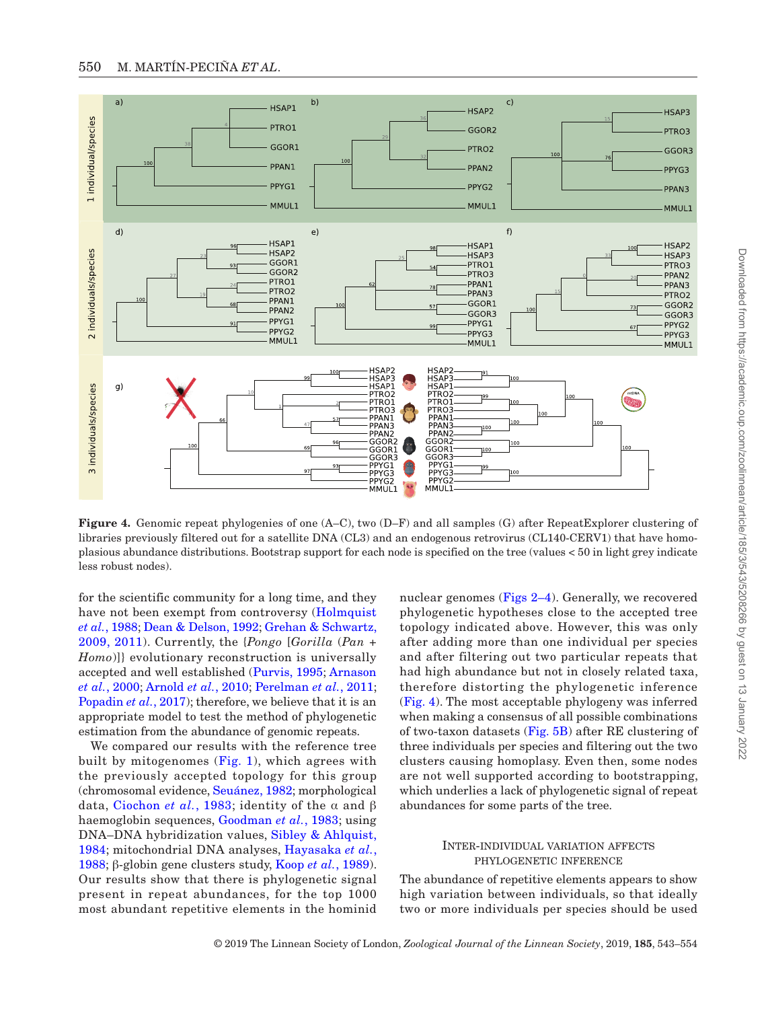

<span id="page-7-0"></span>**Figure 4.** Genomic repeat phylogenies of one (A–C), two (D–F) and all samples (G) after RepeatExplorer clustering of libraries previously filtered out for a satellite DNA (CL3) and an endogenous retrovirus (CL140-CERV1) that have homoplasious abundance distributions. Bootstrap support for each node is specified on the tree (values < 50 in light grey indicate less robust nodes).

for the scientific community for a long time, and they have not been exempt from controversy (Holmquist *et al.*[, 1988;](#page-10-16) [Dean & Delson, 1992;](#page-9-9) [Grehan & Schwartz,](#page-10-17)  [2009,](#page-10-17) [2011\)](#page-10-18). Currently, the {*Pongo* [*Gorilla* (*Pan* + *Homo*)]} evolutionary reconstruction is universally accepted and well established [\(Purvis, 1995;](#page-10-19) [Arnason](#page-9-10)  *et al.*[, 2000](#page-9-10); [Arnold](#page-9-11) *et al.*, 2010; [Perelman](#page-10-4) *et al.*, 2011; [Popadin](#page-10-20) *et al.*, 2017); therefore, we believe that it is an appropriate model to test the method of phylogenetic estimation from the abundance of genomic repeats.

We compared our results with the reference tree built by mitogenomes ([Fig.](#page-4-0) 1), which agrees with the previously accepted topology for this group (chromosomal evidence, [Seuánez, 1982;](#page-11-14) morphological data, [Ciochon](#page-9-12) *et al.*, 1983; identity of the α and β haemoglobin sequences, [Goodman](#page-10-21) *et al.*, 1983; using DNA–DNA hybridization values, [Sibley & Ahlquist,](#page-11-15)  [1984](#page-11-15); mitochondrial DNA analyses, [Hayasaka](#page-10-22) *et al.*, [1988;](#page-10-22) β-globin gene clusters study, Koop *et al.*[, 1989\)](#page-10-23). Our results show that there is phylogenetic signal present in repeat abundances, for the top 1000 most abundant repetitive elements in the hominid

nuclear genomes (Figs 2–4). Generally, we recovered phylogenetic hypotheses close to the accepted tree topology indicated above. However, this was only after adding more than one individual per species and after filtering out two particular repeats that had high abundance but not in closely related taxa, therefore distorting the phylogenetic inference [\(Fig.](#page-7-0) 4). The most acceptable phylogeny was inferred when making a consensus of all possible combinations of two-taxon datasets [\(Fig.](#page-8-0) 5B) after RE clustering of three individuals per species and filtering out the two clusters causing homoplasy. Even then, some nodes are not well supported according to bootstrapping, which underlies a lack of phylogenetic signal of repeat abundances for some parts of the tree.

## Inter-individual variation affects phylogenetic inference

The abundance of repetitive elements appears to show high variation between individuals, so that ideally two or more individuals per species should be used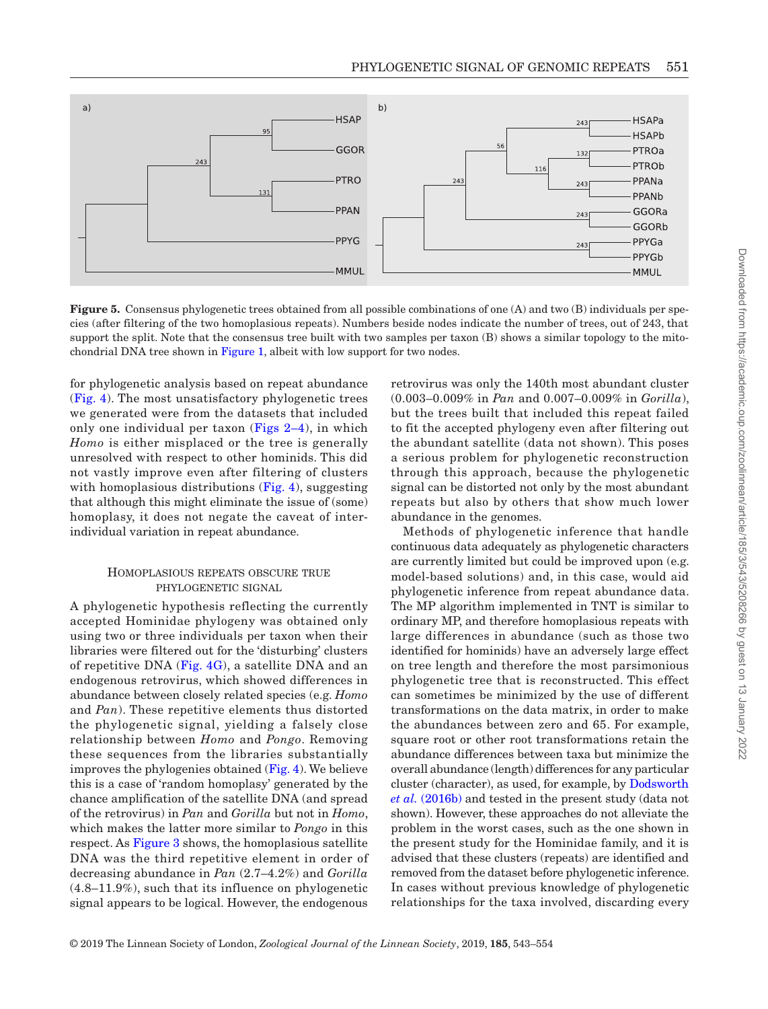

<span id="page-8-0"></span>**Figure** 5. Consensus phylogenetic trees obtained from all possible combinations of one (A) and two (B) individuals per species (after filtering of the two homoplasious repeats). Numbers beside nodes indicate the number of trees, out of 243, that support the split. Note that the consensus tree built with two samples per taxon (B) shows a similar topology to the mitochondrial DNA tree shown in [Figure](#page-4-0) 1, albeit with low support for two nodes.

for phylogenetic analysis based on repeat abundance ([Fig.](#page-7-0) 4). The most unsatisfactory phylogenetic trees we generated were from the datasets that included only one individual per taxon (Figs 2–4), in which *Homo* is either misplaced or the tree is generally unresolved with respect to other hominids. This did not vastly improve even after filtering of clusters with homoplasious distributions ([Fig.](#page-7-0) 4), suggesting that although this might eliminate the issue of (some) homoplasy, it does not negate the caveat of interindividual variation in repeat abundance.

## Homoplasious repeats obscure true phylogenetic signal

A phylogenetic hypothesis reflecting the currently accepted Hominidae phylogeny was obtained only using two or three individuals per taxon when their libraries were filtered out for the 'disturbing' clusters of repetitive DNA ([Fig.](#page-7-0) 4G), a satellite DNA and an endogenous retrovirus, which showed differences in abundance between closely related species (e.g. *Homo* and *Pan*). These repetitive elements thus distorted the phylogenetic signal, yielding a falsely close relationship between *Homo* and *Pongo*. Removing these sequences from the libraries substantially improves the phylogenies obtained ([Fig.](#page-7-0) 4). We believe this is a case of 'random homoplasy' generated by the chance amplification of the satellite DNA (and spread of the retrovirus) in *Pan* and *Gorilla* but not in *Homo*, which makes the latter more similar to *Pongo* in this respect. As [Figure](#page-6-0) 3 shows, the homoplasious satellite DNA was the third repetitive element in order of decreasing abundance in *Pan* (2.7–4.2%) and *Gorilla* (4.8–11.9%), such that its influence on phylogenetic signal appears to be logical. However, the endogenous

retrovirus was only the 140th most abundant cluster (0.003–0.009% in *Pan* and 0.007–0.009% in *Gorilla*), but the trees built that included this repeat failed to fit the accepted phylogeny even after filtering out the abundant satellite (data not shown). This poses a serious problem for phylogenetic reconstruction through this approach, because the phylogenetic signal can be distorted not only by the most abundant repeats but also by others that show much lower abundance in the genomes.

Methods of phylogenetic inference that handle continuous data adequately as phylogenetic characters are currently limited but could be improved upon (e.g. model-based solutions) and, in this case, would aid phylogenetic inference from repeat abundance data. The MP algorithm implemented in TNT is similar to ordinary MP, and therefore homoplasious repeats with large differences in abundance (such as those two identified for hominids) have an adversely large effect on tree length and therefore the most parsimonious phylogenetic tree that is reconstructed. This effect can sometimes be minimized by the use of different transformations on the data matrix, in order to make the abundances between zero and 65. For example, square root or other root transformations retain the abundance differences between taxa but minimize the overall abundance (length) differences for any particular cluster (character), as used, for example, by [Dodsworth](#page-9-13) *et al.* [\(2016b\)](#page-9-13) and tested in the present study (data not shown). However, these approaches do not alleviate the problem in the worst cases, such as the one shown in the present study for the Hominidae family, and it is advised that these clusters (repeats) are identified and removed from the dataset before phylogenetic inference. In cases without previous knowledge of phylogenetic relationships for the taxa involved, discarding every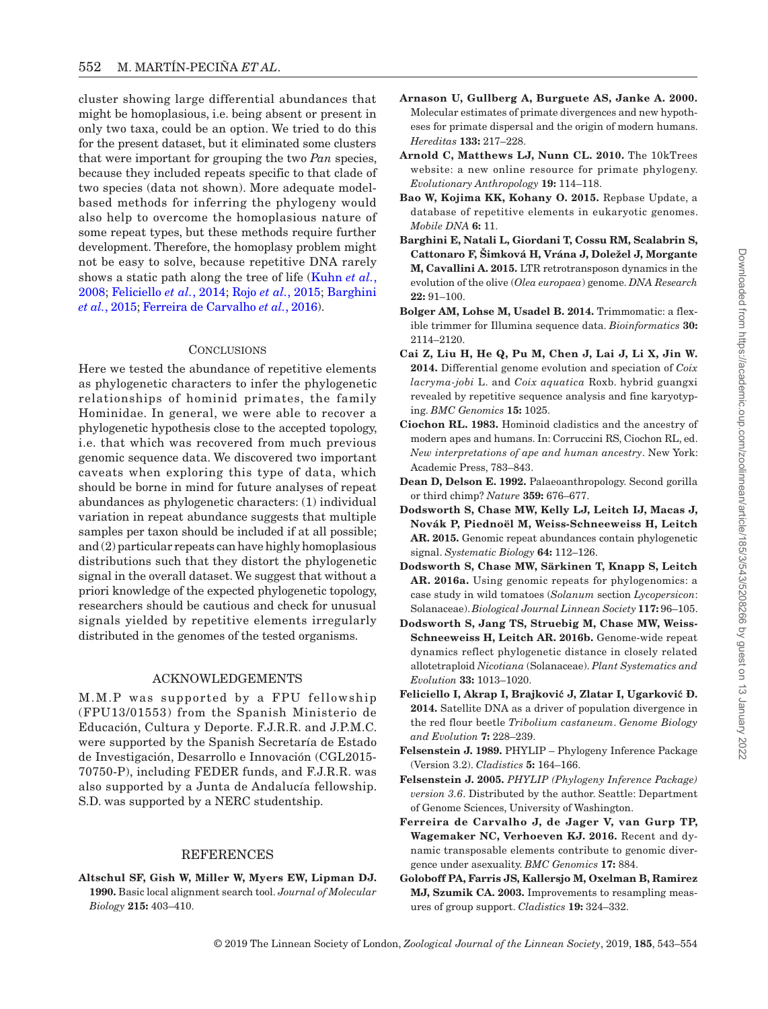cluster showing large differential abundances that might be homoplasious, i.e. being absent or present in only two taxa, could be an option. We tried to do this for the present dataset, but it eliminated some clusters that were important for grouping the two *Pan* species, because they included repeats specific to that clade of two species (data not shown). More adequate modelbased methods for inferring the phylogeny would also help to overcome the homoplasious nature of some repeat types, but these methods require further development. Therefore, the homoplasy problem might not be easy to solve, because repetitive DNA rarely shows a static path along the tree of life [\(Kuhn](#page-10-24) *et al.*, [2008;](#page-10-24) [Feliciello](#page-9-14) *et al.*, 2014; Rojo *et al.*[, 2015;](#page-11-16) [Barghini](#page-9-15) *et al.*[, 2015](#page-9-15); [Ferreira de Carvalho](#page-9-16) *et al.*, 2016).

## **CONCLUSIONS**

Here we tested the abundance of repetitive elements as phylogenetic characters to infer the phylogenetic relationships of hominid primates, the family Hominidae. In general, we were able to recover a phylogenetic hypothesis close to the accepted topology, i.e. that which was recovered from much previous genomic sequence data. We discovered two important caveats when exploring this type of data, which should be borne in mind for future analyses of repeat abundances as phylogenetic characters: (1) individual variation in repeat abundance suggests that multiple samples per taxon should be included if at all possible; and (2) particular repeats can have highly homoplasious distributions such that they distort the phylogenetic signal in the overall dataset. We suggest that without a priori knowledge of the expected phylogenetic topology, researchers should be cautious and check for unusual signals yielded by repetitive elements irregularly distributed in the genomes of the tested organisms.

## ACKNOWLEDGEMENTS

M.M.P was supported by a FPU fellowship (FPU13/01553) from the Spanish Ministerio de Educación, Cultura y Deporte. F.J.R.R. and J.P.M.C. were supported by the Spanish Secretaría de Estado de Investigación, Desarrollo e Innovación (CGL2015- 70750-P), including FEDER funds, and F.J.R.R. was also supported by a Junta de Andalucía fellowship. S.D. was supported by a NERC studentship.

## REFERENCES

<span id="page-9-6"></span>**Altschul SF, Gish W, Miller W, Myers EW, Lipman DJ. 1990.** Basic local alignment search tool. *Journal of Molecular Biology* **215:** 403–410.

- <span id="page-9-10"></span>**Arnason U, Gullberg A, Burguete AS, Janke A. 2000.** Molecular estimates of primate divergences and new hypotheses for primate dispersal and the origin of modern humans. *Hereditas* **133:** 217–228.
- <span id="page-9-11"></span>**Arnold C, Matthews LJ, Nunn CL. 2010.** The 10kTrees website: a new online resource for primate phylogeny. *Evolutionary Anthropology* **19:** 114–118.
- <span id="page-9-4"></span>**Bao W, Kojima KK, Kohany O. 2015.** Repbase Update, a database of repetitive elements in eukaryotic genomes. *Mobile DNA* **6:** 11.
- <span id="page-9-15"></span>**Barghini E, Natali L, Giordani T, Cossu RM, Scalabrin S, Cattonaro F, Šimková H, Vrána J, Doležel J, Morgante M, Cavallini A. 2015.** LTR retrotransposon dynamics in the evolution of the olive (*Olea europaea*) genome. *DNA Research* **22:** 91–100.
- <span id="page-9-3"></span>**Bolger AM, Lohse M, Usadel B. 2014.** Trimmomatic: a flexible trimmer for Illumina sequence data. *Bioinformatics* **30:**  2114–2120.
- <span id="page-9-0"></span>**Cai Z, Liu H, He Q, Pu M, Chen J, Lai J, Li X, Jin W. 2014.** Differential genome evolution and speciation of *Coix lacryma-jobi* L. and *Coix aquatica* Roxb. hybrid guangxi revealed by repetitive sequence analysis and fine karyotyping. *BMC Genomics* **15:** 1025.
- <span id="page-9-12"></span>**Ciochon RL. 1983.** Hominoid cladistics and the ancestry of modern apes and humans. In: Corruccini RS, Ciochon RL, ed. *New interpretations of ape and human ancestry*. New York: Academic Press, 783–843.
- <span id="page-9-9"></span>**Dean D, Delson E. 1992.** Palaeoanthropology. Second gorilla or third chimp? *Nature* **359:** 676–677.
- <span id="page-9-1"></span>**Dodsworth S, Chase MW, Kelly LJ, Leitch IJ, Macas J, Novák P, Piednoël M, Weiss-Schneeweiss H, Leitch AR. 2015.** Genomic repeat abundances contain phylogenetic signal. *Systematic Biology* **64:** 112–126.
- <span id="page-9-2"></span>**Dodsworth S, Chase MW, Särkinen T, Knapp S, Leitch AR. 2016a.** Using genomic repeats for phylogenomics: a case study in wild tomatoes (*Solanum* section *Lycopersicon*: Solanaceae). *Biological Journal Linnean Society* **117:** 96–105.
- <span id="page-9-13"></span>**Dodsworth S, Jang TS, Struebig M, Chase MW, Weiss-Schneeweiss H, Leitch AR. 2016b.** Genome-wide repeat dynamics reflect phylogenetic distance in closely related allotetraploid *Nicotiana* (Solanaceae). *Plant Systematics and Evolution* **33:** 1013–1020.
- <span id="page-9-14"></span>**Feliciello I, Akrap I, Brajković J, Zlatar I, Ugarković Đ. 2014.** Satellite DNA as a driver of population divergence in the red flour beetle *Tribolium castaneum*. *Genome Biology and Evolution* **7:** 228–239.
- <span id="page-9-7"></span>**Felsenstein J. 1989.** PHYLIP – Phylogeny Inference Package (Version 3.2). *Cladistics* **5:** 164–166.
- <span id="page-9-8"></span>**Felsenstein J. 2005.** *PHYLIP (Phylogeny Inference Package) version 3.6*. Distributed by the author. Seattle: Department of Genome Sciences, University of Washington.
- <span id="page-9-16"></span>**Ferreira de Carvalho J, de Jager V, van Gurp TP, Wagemaker NC, Verhoeven KJ. 2016.** Recent and dynamic transposable elements contribute to genomic divergence under asexuality. *BMC Genomics* **17:** 884.
- <span id="page-9-5"></span>**Goloboff PA, Farris JS, Kallersjo M, Oxelman B, Ramirez MJ, Szumik CA. 2003.** Improvements to resampling measures of group support. *Cladistics* **19:** 324–332.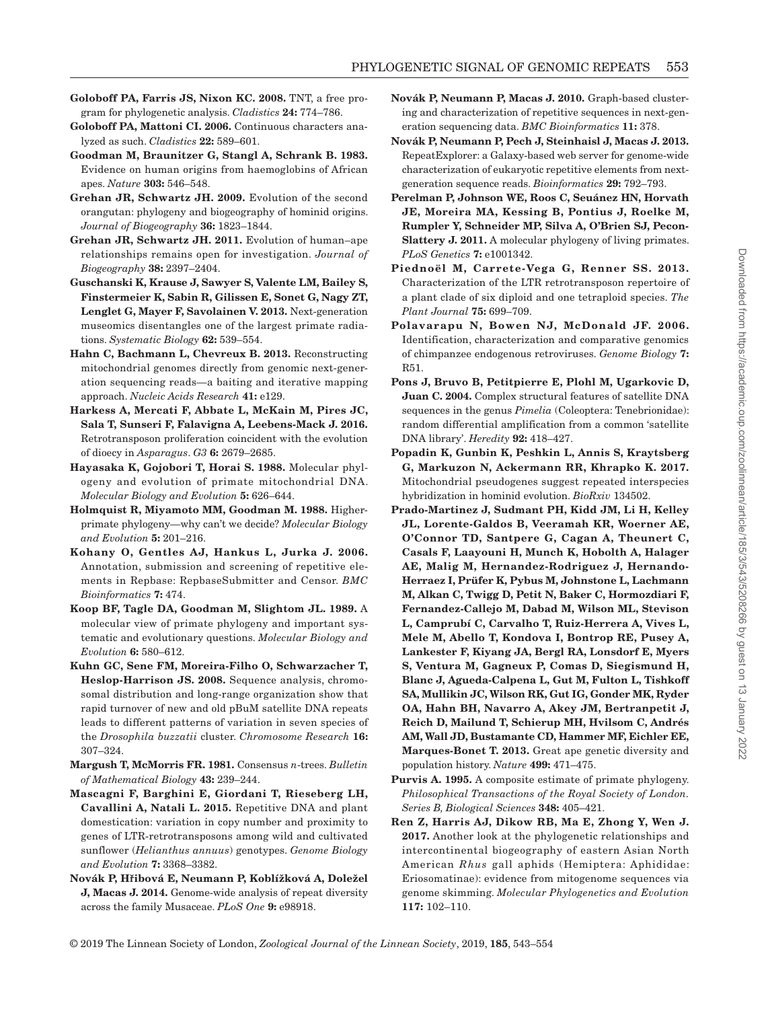- <span id="page-10-10"></span>**Goloboff PA, Farris JS, Nixon KC. 2008.** TNT, a free program for phylogenetic analysis. *Cladistics* **24:** 774–786.
- <span id="page-10-12"></span>**Goloboff PA, Mattoni CI. 2006.** Continuous characters analyzed as such. *Cladistics* **22:** 589–601.
- <span id="page-10-21"></span>**Goodman M, Braunitzer G, Stangl A, Schrank B. 1983.** Evidence on human origins from haemoglobins of African apes. *Nature* **303:** 546–548.
- <span id="page-10-17"></span>**Grehan JR, Schwartz JH. 2009.** Evolution of the second orangutan: phylogeny and biogeography of hominid origins. *Journal of Biogeography* **36:** 1823–1844.
- <span id="page-10-18"></span>**Grehan JR, Schwartz JH. 2011.** Evolution of human–ape relationships remains open for investigation. *Journal of Biogeography* **38:** 2397–2404.
- <span id="page-10-0"></span>**Guschanski K, Krause J, Sawyer S, Valente LM, Bailey S, Finstermeier K, Sabin R, Gilissen E, Sonet G, Nagy ZT, Lenglet G, Mayer F, Savolainen V. 2013.** Next-generation museomics disentangles one of the largest primate radiations. *Systematic Biology* **62:** 539–554.
- <span id="page-10-9"></span>**Hahn C, Bachmann L, Chevreux B. 2013.** Reconstructing mitochondrial genomes directly from genomic next-generation sequencing reads—a baiting and iterative mapping approach. *Nucleic Acids Research* **41:** e129.
- <span id="page-10-6"></span>**Harkess A, Mercati F, Abbate L, McKain M, Pires JC, Sala T, Sunseri F, Falavigna A, Leebens-Mack J. 2016.** Retrotransposon proliferation coincident with the evolution of dioecy in *Asparagus*. *G3* **6:** 2679–2685.
- <span id="page-10-22"></span>**Hayasaka K, Gojobori T, Horai S. 1988.** Molecular phylogeny and evolution of primate mitochondrial DNA. *Molecular Biology and Evolution* **5:** 626–644.
- <span id="page-10-16"></span>**Holmquist R, Miyamoto MM, Goodman M. 1988.** Higherprimate phylogeny—why can't we decide? *Molecular Biology and Evolution* **5:** 201–216.
- <span id="page-10-13"></span>**Kohany O, Gentles AJ, Hankus L, Jurka J. 2006.** Annotation, submission and screening of repetitive elements in Repbase: RepbaseSubmitter and Censor. *BMC Bioinformatics* **7:** 474.
- <span id="page-10-23"></span>**Koop BF, Tagle DA, Goodman M, Slightom JL. 1989.** A molecular view of primate phylogeny and important systematic and evolutionary questions. *Molecular Biology and Evolution* **6:** 580–612.
- <span id="page-10-24"></span>**Kuhn GC, Sene FM, Moreira-Filho O, Schwarzacher T, Heslop-Harrison JS. 2008.** Sequence analysis, chromosomal distribution and long-range organization show that rapid turnover of new and old pBuM satellite DNA repeats leads to different patterns of variation in seven species of the *Drosophila buzzatii* cluster. *Chromosome Research* **16:**  307–324.
- <span id="page-10-14"></span>**Margush T, McMorris FR. 1981.** Consensus *n*-trees. *Bulletin of Mathematical Biology* **43:** 239–244.
- <span id="page-10-5"></span>**Mascagni F, Barghini E, Giordani T, Rieseberg LH, Cavallini A, Natali L. 2015.** Repetitive DNA and plant domestication: variation in copy number and proximity to genes of LTR-retrotransposons among wild and cultivated sunflower (*Helianthus annuus*) genotypes. *Genome Biology and Evolution* **7:** 3368–3382.
- <span id="page-10-2"></span>**Novák P, Hřibová E, Neumann P, Koblížková A, Doležel J, Macas J. 2014.** Genome-wide analysis of repeat diversity across the family Musaceae. *PLoS One* **9:** e98918.
- <span id="page-10-3"></span>**Novák P, Neumann P, Macas J. 2010.** Graph-based clustering and characterization of repetitive sequences in next-generation sequencing data. *BMC Bioinformatics* **11:** 378.
- <span id="page-10-11"></span>**Novák P, Neumann P, Pech J, Steinhaisl J, Macas J. 2013.** RepeatExplorer: a Galaxy-based web server for genome-wide characterization of eukaryotic repetitive elements from nextgeneration sequence reads. *Bioinformatics* **29:** 792–793.
- <span id="page-10-4"></span>**Perelman P, Johnson WE, Roos C, Seuánez HN, Horvath JE, Moreira MA, Kessing B, Pontius J, Roelke M, Rumpler Y, Schneider MP, Silva A, O'Brien SJ, Pecon-Slattery J. 2011.** A molecular phylogeny of living primates. *PLoS Genetics* **7:** e1001342.
- <span id="page-10-15"></span>**Piednoël M, Carrete-Vega G, Renner SS. 2013.** Characterization of the LTR retrotransposon repertoire of a plant clade of six diploid and one tetraploid species. *The Plant Journal* **75:** 699–709.
- **Polavarapu N, Bowen NJ, McDonald JF. 2006.** Identification, characterization and comparative genomics of chimpanzee endogenous retroviruses. *Genome Biology* **7:**  R51.
- <span id="page-10-7"></span>**Pons J, Bruvo B, Petitpierre E, Plohl M, Ugarkovic D, Juan C. 2004.** Complex structural features of satellite DNA sequences in the genus *Pimelia* (Coleoptera: Tenebrionidae): random differential amplification from a common 'satellite DNA library'. *Heredity* **92:** 418–427.
- <span id="page-10-20"></span>**Popadin K, Gunbin K, Peshkin L, Annis S, Kraytsberg G, Markuzon N, Ackermann RR, Khrapko K. 2017.** Mitochondrial pseudogenes suggest repeated interspecies hybridization in hominid evolution. *BioRxiv* 134502.
- <span id="page-10-8"></span>**Prado-Martinez J, Sudmant PH, Kidd JM, Li H, Kelley JL, Lorente-Galdos B, Veeramah KR, Woerner AE, O'Connor TD, Santpere G, Cagan A, Theunert C, Casals F, Laayouni H, Munch K, Hobolth A, Halager AE, Malig M, Hernandez-Rodriguez J, Hernando-Herraez I, Prüfer K, Pybus M, Johnstone L, Lachmann M, Alkan C, Twigg D, Petit N, Baker C, Hormozdiari F, Fernandez-Callejo M, Dabad M, Wilson ML, Stevison L, Camprubí C, Carvalho T, Ruiz-Herrera A, Vives L, Mele M, Abello T, Kondova I, Bontrop RE, Pusey A, Lankester F, Kiyang JA, Bergl RA, Lonsdorf E, Myers S, Ventura M, Gagneux P, Comas D, Siegismund H, Blanc J, Agueda-Calpena L, Gut M, Fulton L, Tishkoff SA, Mullikin JC, Wilson RK, Gut IG, Gonder MK, Ryder OA, Hahn BH, Navarro A, Akey JM, Bertranpetit J, Reich D, Mailund T, Schierup MH, Hvilsom C, Andrés AM, Wall JD, Bustamante CD, Hammer MF, Eichler EE, Marques-Bonet T. 2013.** Great ape genetic diversity and population history. *Nature* **499:** 471–475.
- <span id="page-10-19"></span>**Purvis A. 1995.** A composite estimate of primate phylogeny. *Philosophical Transactions of the Royal Society of London. Series B, Biological Sciences* **348:** 405–421.
- <span id="page-10-1"></span>**Ren Z, Harris AJ, Dikow RB, Ma E, Zhong Y, Wen J. 2017.** Another look at the phylogenetic relationships and intercontinental biogeography of eastern Asian North American *Rhus* gall aphids (Hemiptera: Aphididae: Eriosomatinae): evidence from mitogenome sequences via genome skimming. *Molecular Phylogenetics and Evolution* **117:** 102–110.